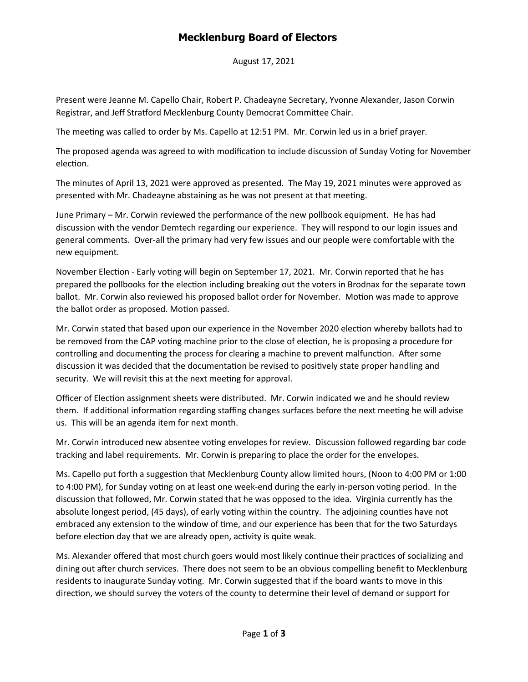## **Mecklenburg Board of Electors**

August 17, 2021

Present were Jeanne M. Capello Chair, Robert P. Chadeayne Secretary, Yvonne Alexander, Jason Corwin Registrar, and Jeff Stratford Mecklenburg County Democrat Committee Chair.

The meeting was called to order by Ms. Capello at 12:51 PM. Mr. Corwin led us in a brief prayer.

The proposed agenda was agreed to with modification to include discussion of Sunday Voting for November election.

The minutes of April 13, 2021 were approved as presented. The May 19, 2021 minutes were approved as presented with Mr. Chadeayne abstaining as he was not present at that meeting.

June Primary – Mr. Corwin reviewed the performance of the new pollbook equipment. He has had discussion with the vendor Demtech regarding our experience. They will respond to our login issues and general comments. Over-all the primary had very few issues and our people were comfortable with the new equipment.

November Election - Early voting will begin on September 17, 2021. Mr. Corwin reported that he has prepared the pollbooks for the election including breaking out the voters in Brodnax for the separate town ballot. Mr. Corwin also reviewed his proposed ballot order for November. Motion was made to approve the ballot order as proposed. Motion passed.

Mr. Corwin stated that based upon our experience in the November 2020 election whereby ballots had to be removed from the CAP voting machine prior to the close of election, he is proposing a procedure for controlling and documenting the process for clearing a machine to prevent malfunction. After some discussion it was decided that the documentation be revised to positively state proper handling and security. We will revisit this at the next meeting for approval.

Officer of Election assignment sheets were distributed. Mr. Corwin indicated we and he should review them. If additional information regarding staffing changes surfaces before the next meeting he will advise us. This will be an agenda item for next month.

Mr. Corwin introduced new absentee voting envelopes for review. Discussion followed regarding bar code tracking and label requirements. Mr. Corwin is preparing to place the order for the envelopes.

Ms. Capello put forth a suggestion that Mecklenburg County allow limited hours, (Noon to 4:00 PM or 1:00 to 4:00 PM), for Sunday voting on at least one week-end during the early in-person voting period. In the discussion that followed, Mr. Corwin stated that he was opposed to the idea. Virginia currently has the absolute longest period, (45 days), of early voting within the country. The adjoining counties have not embraced any extension to the window of time, and our experience has been that for the two Saturdays before election day that we are already open, activity is quite weak.

Ms. Alexander offered that most church goers would most likely continue their practices of socializing and dining out after church services. There does not seem to be an obvious compelling benefit to Mecklenburg residents to inaugurate Sunday voting. Mr. Corwin suggested that if the board wants to move in this direction, we should survey the voters of the county to determine their level of demand or support for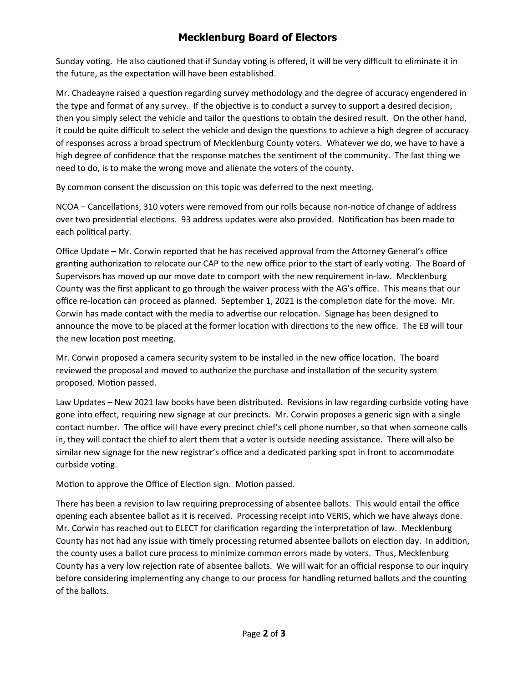## **Mecklenburg Board of Electors**

Sunday voting. He also cautioned that if Sunday voting is offered, it will be very difficult to eliminate it in the future, as the expectation will have been established.

Mr. Chadeayne raised a question regarding survey methodology and the degree of accuracy engendered in the type and format of any survey. If the objective is to conduct a survey to support a desired decision, then you simply select the vehicle and tailor the questions to obtain the desired result. On the other hand, it could be quite difficult to select the vehicle and design the questions to achieve a high degree of accuracy of responses across a broad spectrum of Mecklenburg County voters. Whatever we do, we have to have a high degree of confidence that the response matches the sentiment of the community. The last thing we need to do, is to make the wrong move and alienate the voters of the county.

By common consent the discussion on this topic was deferred to the next meeting.

NCOA – Cancellations, 310 voters were removed from our rolls because non-notice of change of address over two presidential elections. 93 address updates were also provided. Notification has been made to each political party.

Office Update – Mr. Corwin reported that he has received approval from the Attorney General's office granting authorization to relocate our CAP to the new office prior to the start of early voting. The Board of Supervisors has moved up our move date to comport with the new requirement in-law. Mecklenburg County was the first applicant to go through the waiver process with the AG's office. This means that our office re-location can proceed as planned. September 1, 2021 is the completion date for the move. Mr. Corwin has made contact with the media to advertise our relocation. Signage has been designed to announce the move to be placed at the former location with directions to the new office. The EB will tour the new location post meeting.

Mr. Corwin proposed a camera security system to be installed in the new office location. The board reviewed the proposal and moved to authorize the purchase and installation of the security system proposed. Motion passed.

Law Updates – New 2021 law books have been distributed. Revisions in law regarding curbside voting have gone into effect, requiring new signage at our precincts. Mr. Corwin proposes a generic sign with a single contact number. The office will have every precinct chief's cell phone number, so that when someone calls in, they will contact the chief to alert them that a voter is outside needing assistance. There will also be similar new signage for the new registrar's office and a dedicated parking spot in front to accommodate curbside voting.

Motion to approve the Office of Election sign. Motion passed.

There has been a revision to law requiring preprocessing of absentee ballots. This would entail the office opening each absentee ballot as it is received. Processing receipt into VERIS, which we have always done. Mr. Corwin has reached out to ELECT for clarification regarding the interpretation of law. Mecklenburg County has not had any issue with timely processing returned absentee ballots on election day. In addition, the county uses a ballot cure process to minimize common errors made by voters. Thus, Mecklenburg County has a very low rejection rate of absentee ballots. We will wait for an official response to our inquiry before considering implementing any change to our process for handling returned ballots and the counting of the ballots.